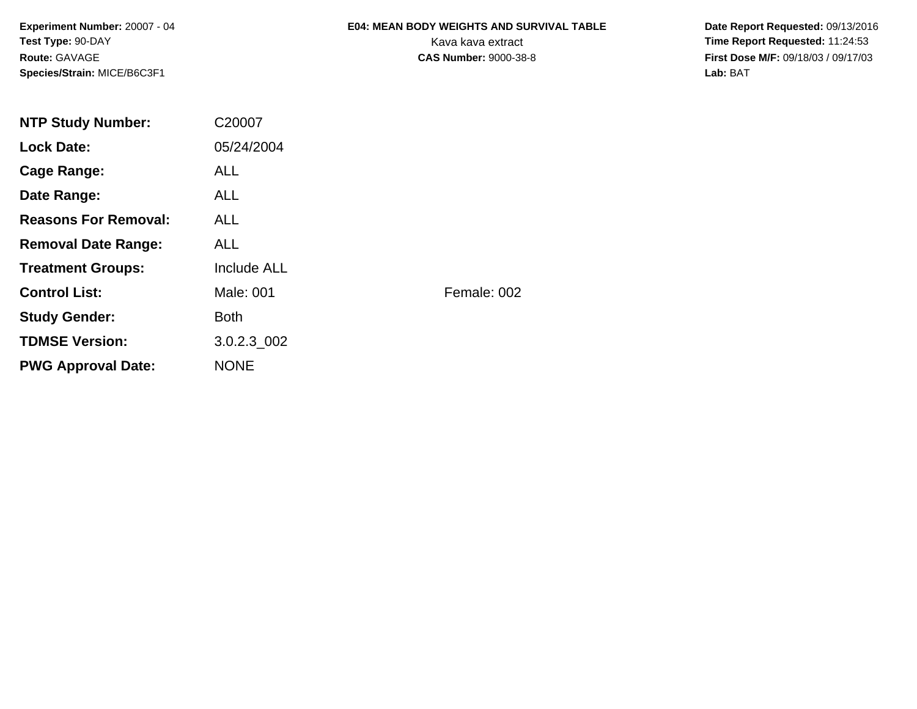**Experiment Number:** 20007 - 04**Test Type:** 90-DAY**Route:** GAVAGE**Species/Strain:** MICE/B6C3F1

# **E04: MEAN BODY WEIGHTS AND SURVIVAL TABLE**

 **Date Report Requested:** 09/13/2016 Kava kava extract **Time Report Requested:** 11:24:53<br>**CAS Number:** 9000-38-8 **Time Report Requested:** 11:24:53 **First Dose M/F:** 09/18/03 / 09/17/03<br>Lab: BAT **Lab:** BAT

| <b>NTP Study Number:</b>    | C20007             |             |
|-----------------------------|--------------------|-------------|
| <b>Lock Date:</b>           | 05/24/2004         |             |
| Cage Range:                 | <b>ALL</b>         |             |
| Date Range:                 | ALL.               |             |
| <b>Reasons For Removal:</b> | ALL.               |             |
| <b>Removal Date Range:</b>  | <b>ALL</b>         |             |
| <b>Treatment Groups:</b>    | <b>Include ALL</b> |             |
| <b>Control List:</b>        | Male: 001          | Female: 002 |
| <b>Study Gender:</b>        | <b>Both</b>        |             |
| <b>TDMSE Version:</b>       | 3.0.2.3 002        |             |
| <b>PWG Approval Date:</b>   | <b>NONE</b>        |             |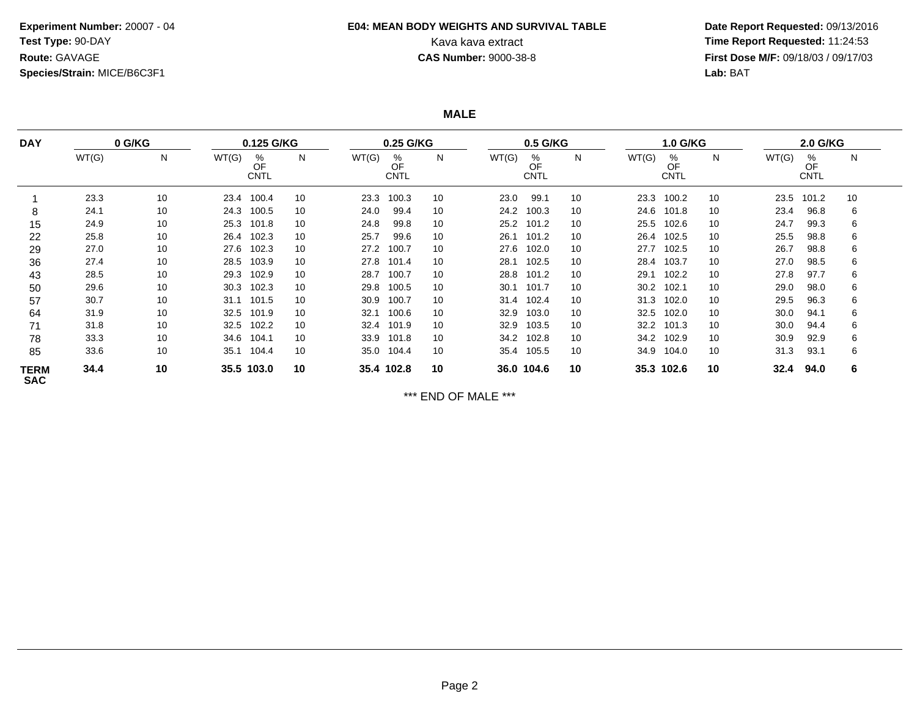### **Experiment Number:** 20007 - 04**Test Type:** 90-DAY**Route:** GAVAGE**Species/Strain:** MICE/B6C3F1

## **E04: MEAN BODY WEIGHTS AND SURVIVAL TABLE**

 **Date Report Requested:** 09/13/2016 Kava kava extract **Time Report Requested:** 11:24:53<br>**CAS Number:** 9000-38-8 **Time Report Requested:** 11:24:53 **First Dose M/F:** 09/18/03 / 09/17/03<br>Lab: BAT **Lab:** BAT

**MALE**

| <b>DAY</b>                | 0 G/KG |    | 0.125 G/KG |                        |    | 0.25 G/KG  |                        |    | 0.5 G/KG |                        |    | <b>1.0 G/KG</b> |                        |    | 2.0 G/KG |                        |    |
|---------------------------|--------|----|------------|------------------------|----|------------|------------------------|----|----------|------------------------|----|-----------------|------------------------|----|----------|------------------------|----|
|                           | WT(G)  | N  | WT(G)      | %<br>OF<br><b>CNTL</b> | N  | WT(G)      | %<br>OF<br><b>CNTL</b> | N  | WT(G)    | %<br>OF<br><b>CNTL</b> | N  | WT(G)           | %<br>OF<br><b>CNTL</b> | N  | WT(G)    | %<br>OF<br><b>CNTL</b> | N  |
|                           | 23.3   | 10 |            | 23.4 100.4             | 10 | 23.3       | 100.3                  | 10 | 23.0     | 99.1                   | 10 | 23.3            | 100.2                  | 10 | 23.5     | 101.2                  | 10 |
| 8                         | 24.1   | 10 | 24.3       | 100.5                  | 10 | 24.0       | 99.4                   | 10 | 24.2     | 100.3                  | 10 | 24.6            | 101.8                  | 10 | 23.4     | 96.8                   | 6  |
| 15                        | 24.9   | 10 |            | 25.3 101.8             | 10 | 24.8       | 99.8                   | 10 | 25.2     | 101.2                  | 10 | 25.5            | 102.6                  | 10 | 24.7     | 99.3                   | 6  |
| 22                        | 25.8   | 10 |            | 26.4 102.3             | 10 | 25.7       | 99.6                   | 10 | 26.1     | 101.2                  | 10 | 26.4            | 102.5                  | 10 | 25.5     | 98.8                   | 6  |
| 29                        | 27.0   | 10 |            | 27.6 102.3             | 10 | 27.2       | 100.7                  | 10 | 27.6     | 102.0                  | 10 | 27.7            | 102.5                  | 10 | 26.7     | 98.8                   | 6  |
| 36                        | 27.4   | 10 | 28.5       | 103.9                  | 10 | 27.8       | 101.4                  | 10 | 28.1     | 102.5                  | 10 | 28.4            | 103.7                  | 10 | 27.0     | 98.5                   | 6  |
| 43                        | 28.5   | 10 | 29.3       | 102.9                  | 10 | 28.7       | 100.7                  | 10 | 28.8     | 101.2                  | 10 | 29.1            | 102.2                  | 10 | 27.8     | 97.7                   | 6  |
| 50                        | 29.6   | 10 | 30.3       | 102.3                  | 10 | 29.8       | 100.5                  | 10 | 30.1     | 101.7                  | 10 | 30.2            | 102.1                  | 10 | 29.0     | 98.0                   | 6  |
| 57                        | 30.7   | 10 | 31.1       | 101.5                  | 10 | 30.9       | 100.7                  | 10 | 31.4     | 102.4                  | 10 | 31.3            | 102.0                  | 10 | 29.5     | 96.3                   | 6  |
| 64                        | 31.9   | 10 | 32.5       | 101.9                  | 10 | 32.1       | 100.6                  | 10 | 32.9     | 103.0                  | 10 | 32.5            | 102.0                  | 10 | 30.0     | 94.1                   | 6  |
| 71                        | 31.8   | 10 | 32.5       | 102.2                  | 10 | 32.4       | 101.9                  | 10 | 32.9     | 103.5                  | 10 | 32.2            | 101.3                  | 10 | 30.0     | 94.4                   | 6  |
| 78                        | 33.3   | 10 | 34.6       | 104.1                  | 10 | 33.9       | 101.8                  | 10 | 34.2     | 102.8                  | 10 | 34.2            | 102.9                  | 10 | 30.9     | 92.9                   | 6  |
| 85                        | 33.6   | 10 | 35.1       | 104.4                  | 10 | 35.0       | 104.4                  | 10 | 35.4     | 105.5                  | 10 | 34.9            | 104.0                  | 10 | 31.3     | 93.1                   | 6  |
| <b>TERM</b><br><b>SAC</b> | 34.4   | 10 |            | 35.5 103.0             | 10 | 35.4 102.8 |                        | 10 |          | 36.0 104.6             | 10 |                 | 35.3 102.6             | 10 | 32.4     | 94.0                   | 6  |

\*\*\* END OF MALE \*\*\*